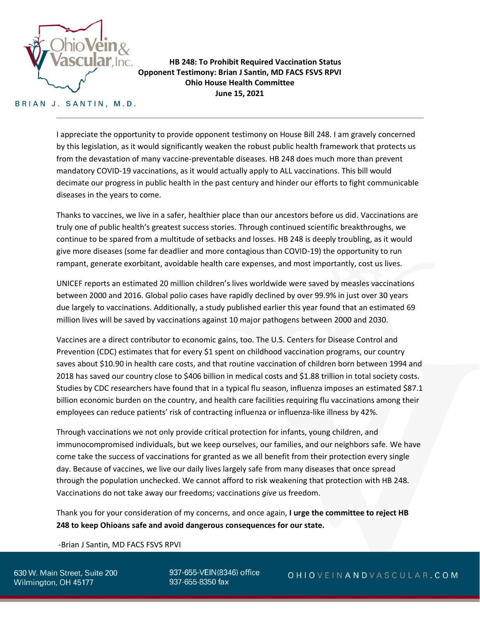

**HB 248: To Prohibit Required Vaccination Status Opponent Testimony: Brian J Santin, MD FACS FSVS RPVI Ohio House Health Committee June 15, 2021**

## BRIAN J. SANTIN, M.D.

I appreciate the opportunity to provide opponent testimony on House Bill 248. I am gravely concerned by this legislation, as it would significantly weaken the robust public health framework that protects us from the devastation of many vaccine-preventable diseases. HB 248 does much more than prevent mandatory COVID-19 vaccinations, as it would actually apply to ALL vaccinations. This bill would decimate our progress in public health in the past century and hinder our efforts to fight communicable diseases in the years to come.

Thanks to vaccines, we live in a safer, healthier place than our ancestors before us did. Vaccinations are truly one of public health's greatest success stories. Through continued scientific breakthroughs, we continue to be spared from a multitude of setbacks and losses. HB 248 is deeply troubling, as it would give more diseases (some far deadlier and more contagious than COVID-19) the opportunity to run rampant, generate exorbitant, avoidable health care expenses, and most importantly, cost us lives.

UNICEF reports an estimated 20 million children's lives worldwide were saved by measles vaccinations between 2000 and 2016. Global polio cases have rapidly declined by over 99.9% in just over 30 years due largely to vaccinations. Additionally, a study published earlier this year found that an estimated 69 million lives will be saved by vaccinations against 10 major pathogens between 2000 and 2030.

Vaccines are a direct contributor to economic gains, too. The U.S. Centers for Disease Control and Prevention (CDC) estimates that for every \$1 spent on childhood vaccination programs, our country saves about \$10.90 in health care costs, and that routine vaccination of children born between 1994 and 2018 has saved our country close to \$406 billion in medical costs and \$1.88 trillion in total society costs. Studies by CDC researchers have found that in a typical flu season, influenza imposes an estimated \$87.1 billion economic burden on the country, and health care facilities requiring flu vaccinations among their employees can reduce patients' risk of contracting influenza or influenza-like illness by 42%.

Through vaccinations we not only provide critical protection for infants, young children, and immunocompromised individuals, but we keep ourselves, our families, and our neighbors safe. We have come take the success of vaccinations for granted as we all benefit from their protection every single day. Because of vaccines, we live our daily lives largely safe from many diseases that once spread through the population unchecked. We cannot afford to risk weakening that protection with HB 248. Vaccinations do not take away our freedoms; vaccinations *give* us freedom.

Thank you for your consideration of my concerns, and once again, **I urge the committee to reject HB 248 to keep Ohioans safe and avoid dangerous consequences for our state.**

-Brian J Santin, MD FACS FSVS RPVI

630 W. Main Street, Suite 200 Wilmington, OH 45177

937-655-VEIN(8346) office 937-655-8350 fax